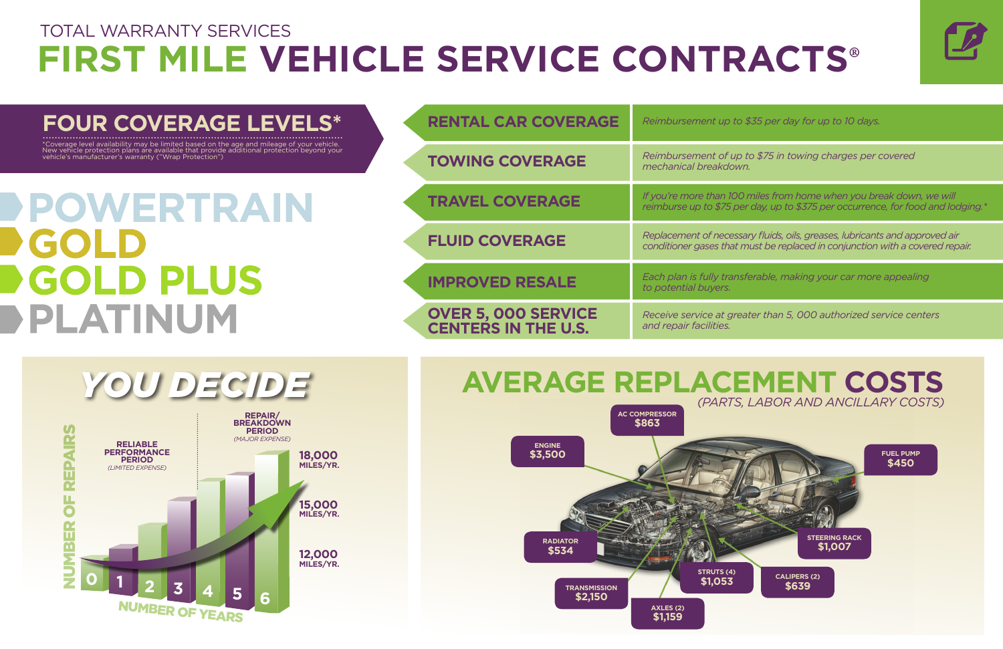





| <b>RENTAL CAR COVERAGE</b>                               | Reimbursement up to \$35 per day for up to 10 days.                                                                                                          |
|----------------------------------------------------------|--------------------------------------------------------------------------------------------------------------------------------------------------------------|
| <b>TOWING COVERAGE</b>                                   | Reimbursement of up to \$75 in towing charges per covered<br>mechanical breakdown.                                                                           |
| <b>TRAVEL COVERAGE</b>                                   | If you're more than 100 miles from home when you break down, we will<br>reimburse up to \$75 per day, up to \$375 per occurrence, for food and lodging.*     |
| <b>FLUID COVERAGE</b>                                    | Replacement of necessary fluids, oils, greases, lubricants and approved air<br>conditioner gases that must be replaced in conjunction with a covered repair. |
| <b>IMPROVED RESALE</b>                                   | Each plan is fully transferable, making your car more appealing<br>to potential buyers.                                                                      |
| <b>OVER 5, 000 SERVICE</b><br><b>CENTERS IN THE U.S.</b> | Receive service at greater than 5, 000 authorized service centers<br>and repair facilities.                                                                  |

## **FOUR COVERAGE LEVELS\***

\*Coverage level availability may be limited based on the age and mileage of your vehicle. New vehicle protection plans are available that provide additional protection beyond your vehicle's manufacturer's warranty ("Wrap Protection")

POWERTRAIN COI **GOLD PLUS** PLATINUM



# TOTAL WARRANTY SERVICES **FIRST MILE VEHICLE SERVICE CONTRACTS®**